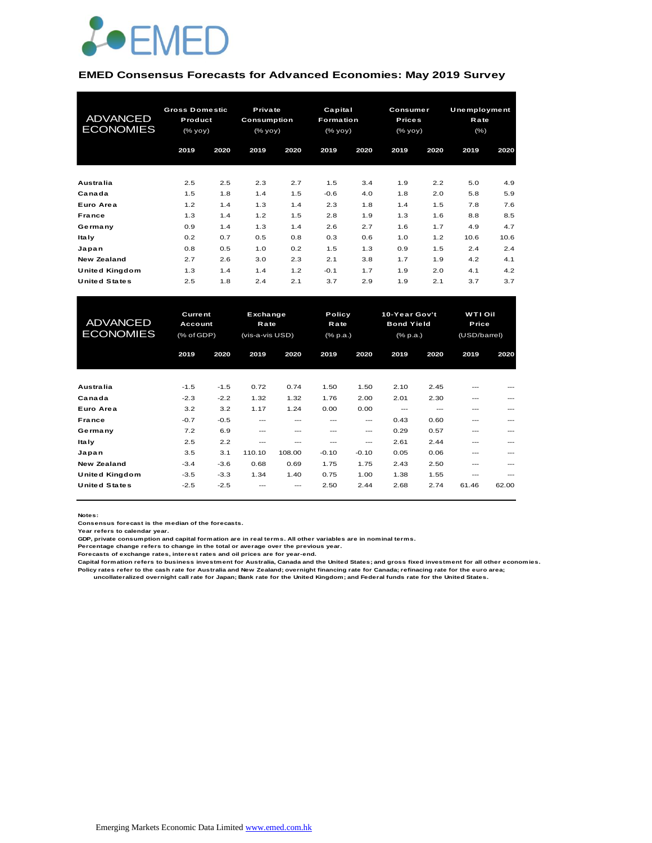

#### **EMED Consensus Forecasts for Advanced Economies: May 2019 Survey**

| <b>ADVANCED</b><br><b>ECONOMIES</b> | <b>Gross Domestic</b><br>Product<br>(% yoy) |      | Private<br>Consumption<br>(% |      | Capital<br>Formation<br>(% |      | Consumer<br><b>Prices</b><br>(% |      | Unemployment<br>Rate<br>$(\% )$ |      |
|-------------------------------------|---------------------------------------------|------|------------------------------|------|----------------------------|------|---------------------------------|------|---------------------------------|------|
|                                     | 2019                                        | 2020 | 2019                         | 2020 | 2019                       | 2020 | 2019                            | 2020 | 2019                            | 2020 |
| <b>Australia</b>                    | 2.5                                         | 2.5  | 2.3                          | 2.7  | 1.5                        | 3.4  | 1.9                             | 2.2  | 5.0                             | 4.9  |
| Canada                              | 1.5                                         | 1.8  | 1.4                          | 1.5  | $-0.6$                     | 4.0  | 1.8                             | 2.0  | 5.8                             | 5.9  |
| Euro Area                           | 1.2                                         | 1.4  | 1.3                          | 1.4  | 2.3                        | 1.8  | 1.4                             | 1.5  | 7.8                             | 7.6  |
| France                              | 1.3                                         | 1.4  | 1.2                          | 1.5  | 2.8                        | 1.9  | 1.3                             | 1.6  | 8.8                             | 8.5  |
| Germany                             | 0.9                                         | 1.4  | 1.3                          | 1.4  | 2.6                        | 2.7  | 1.6                             | 1.7  | 4.9                             | 4.7  |
| <b>Italy</b>                        | 0.2                                         | 0.7  | 0.5                          | 0.8  | 0.3                        | 0.6  | 1.0                             | 1.2  | 10.6                            | 10.6 |
| Japan                               | 0.8                                         | 0.5  | 1.0                          | 0.2  | 1.5                        | 1.3  | 0.9                             | 1.5  | 2.4                             | 2.4  |
| New Zealand                         | 2.7                                         | 2.6  | 3.0                          | 2.3  | 2.1                        | 3.8  | 1.7                             | 1.9  | 4.2                             | 4.1  |
| <b>United Kingdom</b>               | 1.3                                         | 1.4  | 1.4                          | 1.2  | $-0.1$                     | 1.7  | 1.9                             | 2.0  | 4.1                             | 4.2  |
| <b>United States</b>                | 2.5                                         | 1.8  | 2.4                          | 2.1  | 3.7                        | 2.9  | 1.9                             | 2.1  | 3.7                             | 3.7  |

| <b>United Kingdom</b> | 1.3            | 1.4    | 1.4             | 1.2    | $-0.1$          | 1.7     | 1.9               | 2.0  | 4.1          | 4.2     |
|-----------------------|----------------|--------|-----------------|--------|-----------------|---------|-------------------|------|--------------|---------|
| <b>United States</b>  | 2.5            | 1.8    | 2.4             | 2.1    | 3.7             | 2.9     | 1.9               | 2.1  | 3.7          | 3.7     |
|                       |                |        |                 |        |                 |         |                   |      |              |         |
|                       |                |        |                 |        |                 |         |                   |      |              |         |
|                       | <b>Current</b> |        | Exchange        |        | Policy          |         | 10-Year Gov't     |      | WTI Oil      |         |
| <b>ADVANCED</b>       | Account        |        | Rate            |        | Rate            |         | <b>Bond Yield</b> |      | Price        |         |
| <b>ECONOMIES</b>      | (% of GDP)     |        | (vis-a-vis USD) |        | $(%$ $(% p.a.)$ |         | $(%$ $(% p.a.)$   |      | (USD/barrel) |         |
|                       | 2019           | 2020   | 2019            | 2020   | 2019            | 2020    | 2019              | 2020 | 2019         | 2020    |
|                       |                |        |                 |        |                 |         |                   |      |              |         |
|                       |                |        |                 |        |                 |         |                   |      |              |         |
| Australia             | $-1.5$         | $-1.5$ | 0.72            | 0.74   | 1.50            | 1.50    | 2.10              | 2.45 | ---          |         |
| Canada                | $-2.3$         | $-2.2$ | 1.32            | 1.32   | 1.76            | 2.00    | 2.01              | 2.30 | ---          |         |
| Euro Area             | 3.2            | 3.2    | 1.17            | 1.24   | 0.00            | 0.00    | $---$             | ---  | ---          |         |
| France                | $-0.7$         | $-0.5$ | $---$           | $---$  | $- - -$         | ---     | 0.43              | 0.60 | ---          | $- - -$ |
| Germany               | 7.2            | 6.9    | $---$           | $---$  | ---             | ---     | 0.29              | 0.57 | ---          | ---     |
| <b>Italy</b>          | 2.5            | 2.2    | ---             | ---    | $---$           | $---$   | 2.61              | 2.44 | ---          |         |
| Japan                 | 3.5            | 3.1    | 110.10          | 108.00 | $-0.10$         | $-0.10$ | 0.05              | 0.06 | ---          | ---     |
| New Zealand           | $-3.4$         | $-3.6$ | 0.68            | 0.69   | 1.75            | 1.75    | 2.43              | 2.50 | ---          | ---     |
| <b>United Kingdom</b> | $-3.5$         | $-3.3$ | 1.34            | 1.40   | 0.75            | 1.00    | 1.38              | 1.55 | ---          | ---     |
| <b>United States</b>  | $-2.5$         | $-2.5$ |                 |        | 2.50            | 2.44    | 2.68              | 2.74 | 61.46        | 62.00   |
|                       |                |        |                 |        |                 |         |                   |      |              |         |

**Notes:** 

**Consensus forecast is the median of the forecasts.**

**Year refers to calendar year.**

**GDP, private consumption and capital formation are in real terms. All other variables are in nominal terms.**

**Percentage change refers to change in the total or average over the previous year.**

**Forecasts of exchange rates, interest rates and oil prices are for year-end.**

**Capital formation refers to business investment for Australia, Canada and the United States; and gross fixed investment for all other economies. Policy rates refer to the cash rate for Australia and New Zealand; overnight financing rate for Canada; refinacing rate for the euro area; uncollateralized overnight call rate for Japan; Bank rate for the United Kingdom; and Federal funds rate for the United States.**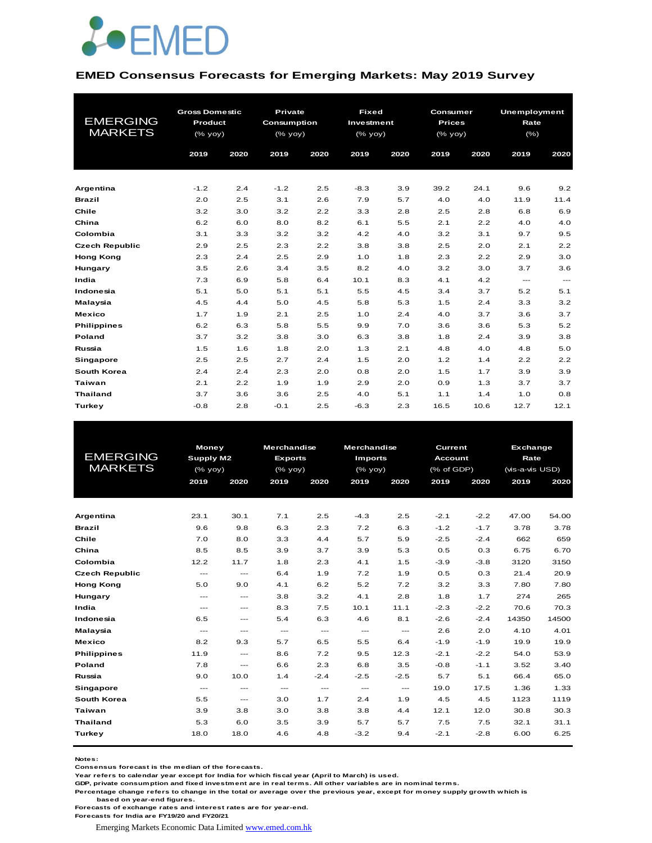

#### **EMED Consensus Forecasts for Emerging Markets: May 2019 Survey**

| <b>EMERGING</b><br><b>MARKETS</b> | <b>Gross Domestic</b><br>Product<br>(% yoy)<br>2019 | 2020 | <b>Private</b><br><b>Consumption</b><br>(% yoy)<br>2019 | 2020 | <b>Fixed</b><br>Investment<br>$(%$ (% yoy)<br>2019 | 2020 | Consumer<br><b>Prices</b><br>(% yoy)<br>2019 | 2020 | <b>Unemployment</b><br>Rate<br>(% )<br>2019 | 2020                 |
|-----------------------------------|-----------------------------------------------------|------|---------------------------------------------------------|------|----------------------------------------------------|------|----------------------------------------------|------|---------------------------------------------|----------------------|
| Argentina                         | $-1.2$                                              | 2.4  | $-1.2$                                                  | 2.5  | $-8.3$                                             | 3.9  | 39.2                                         | 24.1 | 9.6                                         | 9.2                  |
| <b>Brazil</b>                     | 2.0                                                 | 2.5  | 3.1                                                     | 2.6  | 7.9                                                | 5.7  | 4.0                                          | 4.0  | 11.9                                        | 11.4                 |
| Chile                             | 3.2                                                 | 3.0  | 3.2                                                     | 2.2  | 3.3                                                | 2.8  | 2.5                                          | 2.8  | 6.8                                         | 6.9                  |
| China                             | 6.2                                                 | 6.0  | 8.0                                                     | 8.2  | 6.1                                                | 5.5  | 2.1                                          | 2.2  | 4.0                                         | 4.0                  |
| Colombia                          | 3.1                                                 | 3.3  | 3.2                                                     | 3.2  | 4.2                                                | 4.0  | 3.2                                          | 3.1  | 9.7                                         | 9.5                  |
| <b>Czech Republic</b>             | 2.9                                                 | 2.5  | 2.3                                                     | 2.2  | 3.8                                                | 3.8  | 2.5                                          | 2.0  | 2.1                                         | 2.2                  |
| <b>Hong Kong</b>                  | 2.3                                                 | 2.4  | 2.5                                                     | 2.9  | 1.0                                                | 1.8  | 2.3                                          | 2.2  | 2.9                                         | 3.0                  |
| Hungary                           | 3.5                                                 | 2.6  | 3.4                                                     | 3.5  | 8.2                                                | 4.0  | 3.2                                          | 3.0  | 3.7                                         | 3.6                  |
| India                             | 7.3                                                 | 6.9  | 5.8                                                     | 6.4  | 10.1                                               | 8.3  | 4.1                                          | 4.2  | $\cdots$                                    | $\sim$ $\sim$ $\sim$ |
| Indonesia                         | 5.1                                                 | 5.0  | 5.1                                                     | 5.1  | 5.5                                                | 4.5  | 3.4                                          | 3.7  | 5.2                                         | 5.1                  |
| Malaysia                          | 4.5                                                 | 4.4  | 5.0                                                     | 4.5  | 5.8                                                | 5.3  | 1.5                                          | 2.4  | 3.3                                         | 3.2                  |
| <b>Mexico</b>                     | 1.7                                                 | 1.9  | 2.1                                                     | 2.5  | 1.0                                                | 2.4  | 4.0                                          | 3.7  | 3.6                                         | 3.7                  |
| <b>Philippines</b>                | 6.2                                                 | 6.3  | 5.8                                                     | 5.5  | 9.9                                                | 7.0  | 3.6                                          | 3.6  | 5.3                                         | 5.2                  |
| Poland                            | 3.7                                                 | 3.2  | 3.8                                                     | 3.0  | 6.3                                                | 3.8  | 1.8                                          | 2.4  | 3.9                                         | 3.8                  |
| Russia                            | 1.5                                                 | 1.6  | 1.8                                                     | 2.0  | 1.3                                                | 2.1  | 4.8                                          | 4.0  | 4.8                                         | 5.0                  |
| <b>Singapore</b>                  | 2.5                                                 | 2.5  | 2.7                                                     | 2.4  | 1.5                                                | 2.0  | 1.2                                          | 1.4  | 2.2                                         | 2.2                  |
| South Korea                       | 2.4                                                 | 2.4  | 2.3                                                     | 2.0  | 0.8                                                | 2.0  | 1.5                                          | 1.7  | 3.9                                         | 3.9                  |
| <b>Taiwan</b>                     | 2.1                                                 | 2.2  | 1.9                                                     | 1.9  | 2.9                                                | 2.0  | 0.9                                          | 1.3  | 3.7                                         | 3.7                  |
| <b>Thailand</b>                   | 3.7                                                 | 3.6  | 3.6                                                     | 2.5  | 4.0                                                | 5.1  | 1.1                                          | 1.4  | 1.0                                         | 0.8                  |
| Turkey                            | $-0.8$                                              | 2.8  | $-0.1$                                                  | 2.5  | $-6.3$                                             | 2.3  | 16.5                                         | 10.6 | 12.7                                        | 12.1                 |

|                       | <b>Money</b>                        |                                     | <b>Merchandise</b> |                          | <b>Merchandise</b>   |                          | Current        |        | Exchange        |       |
|-----------------------|-------------------------------------|-------------------------------------|--------------------|--------------------------|----------------------|--------------------------|----------------|--------|-----------------|-------|
| <b>EMERGING</b>       | <b>Supply M2</b>                    |                                     | <b>Exports</b>     |                          | <b>Imports</b>       |                          | <b>Account</b> |        | Rate            |       |
| <b>MARKETS</b>        | (% yoy)                             |                                     | $(%$ (% yoy)       |                          | $(%$ $\mathsf{yoy})$ |                          | (% of GDP)     |        | (vis-a-vis USD) |       |
|                       | 2019                                | 2020                                | 2019               | 2020                     | 2019                 | 2020                     | 2019           | 2020   | 2019            | 2020  |
|                       |                                     |                                     |                    |                          |                      |                          |                |        |                 |       |
|                       |                                     |                                     |                    |                          |                      |                          |                |        |                 |       |
| Argentina             | 23.1                                | 30.1                                | 7.1                | 2.5                      | $-4.3$               | 2.5                      | $-2.1$         | $-2.2$ | 47.00           | 54.00 |
| <b>Brazil</b>         | 9.6                                 | 9.8                                 | 6.3                | 2.3                      | 7.2                  | 6.3                      | $-1.2$         | $-1.7$ | 3.78            | 3.78  |
| Chile                 | 7.0                                 | 8.0                                 | 3.3                | 4.4                      | 5.7                  | 5.9                      | $-2.5$         | $-2.4$ | 662             | 659   |
| China                 | 8.5                                 | 8.5                                 | 3.9                | 3.7                      | 3.9                  | 5.3                      | 0.5            | 0.3    | 6.75            | 6.70  |
| Colombia              | 12.2                                | 11.7                                | 1.8                | 2.3                      | 4.1                  | 1.5                      | $-3.9$         | $-3.8$ | 3120            | 3150  |
| <b>Czech Republic</b> | $\sim$ $\sim$ $\sim$                | $---$                               | 6.4                | 1.9                      | 7.2                  | 1.9                      | 0.5            | 0.3    | 21.4            | 20.9  |
| <b>Hong Kong</b>      | 5.0                                 | 9.0                                 | 4.1                | 6.2                      | 5.2                  | 7.2                      | 3.2            | 3.3    | 7.80            | 7.80  |
| Hungary               | $\cdots$                            | $\qquad \qquad -$                   | 3.8                | 3.2                      | 4.1                  | 2.8                      | 1.8            | 1.7    | 274             | 265   |
| India                 | $\cdots$                            | $---$                               | 8.3                | 7.5                      | 10.1                 | 11.1                     | $-2.3$         | $-2.2$ | 70.6            | 70.3  |
| Indonesia             | 6.5                                 | $\sim$ $\sim$ $\sim$                | 5.4                | 6.3                      | 4.6                  | 8.1                      | $-2.6$         | $-2.4$ | 14350           | 14500 |
| Malaysia              | $\sim$ $\sim$ $\sim$                | $\sim$ $\sim$ $\sim$                | $\sim$ $\sim$      | $\hspace{0.05cm} \ldots$ | $\cdots$             | $\hspace{0.05cm} \ldots$ | 2.6            | 2.0    | 4.10            | 4.01  |
| <b>Mexico</b>         | 8.2                                 | 9.3                                 | 5.7                | 6.5                      | 5.5                  | 6.4                      | $-1.9$         | $-1.9$ | 19.9            | 19.9  |
| <b>Philippines</b>    | 11.9                                | $\sim$ $\sim$ $\sim$                | 8.6                | 7.2                      | 9.5                  | 12.3                     | $-2.1$         | $-2.2$ | 54.0            | 53.9  |
| Poland                | 7.8                                 | $\cdots$                            | 6.6                | 2.3                      | 6.8                  | 3.5                      | $-0.8$         | $-1.1$ | 3.52            | 3.40  |
| Russia                | 9.0                                 | 10.0                                | 1.4                | $-2.4$                   | $-2.5$               | $-2.5$                   | 5.7            | 5.1    | 66.4            | 65.0  |
| <b>Singapore</b>      | $\hspace{0.05cm}---\hspace{0.05cm}$ | $\hspace{0.05cm}---\hspace{0.05cm}$ | $\sim$ $\sim$      | $\hspace{0.05cm} \ldots$ | $\cdots$             | $\hspace{0.05cm} \ldots$ | 19.0           | 17.5   | 1.36            | 1.33  |
| South Korea           | 5.5                                 | $\qquad \qquad -$                   | 3.0                | 1.7                      | 2.4                  | 1.9                      | 4.5            | 4.5    | 1123            | 1119  |
| Taiwan                | 3.9                                 | 3.8                                 | 3.0                | 3.8                      | 3.8                  | 4.4                      | 12.1           | 12.0   | 30.8            | 30.3  |
| <b>Thailand</b>       | 5.3                                 | 6.0                                 | 3.5                | 3.9                      | 5.7                  | 5.7                      | 7.5            | 7.5    | 32.1            | 31.1  |
| Turkey                | 18.0                                | 18.0                                | 4.6                | 4.8                      | $-3.2$               | 9.4                      | $-2.1$         | $-2.8$ | 6.00            | 6.25  |
|                       |                                     |                                     |                    |                          |                      |                          |                |        |                 |       |

**Notes:** 

**Consensus forecast is the median of the forecasts.**

**Year refers to calendar year except for India for which fiscal year (April to March) is used.**

**GDP, private consumption and fixed investment are in real terms. All other variables are in nominal terms.**

**Percentage change refers to change in the total or average over the previous year, except for money supply growth which is based on year-end figures.**

**Forecasts of exchange rates and interest rates are for year-end.**

**Forecasts for India are FY19/20 and FY20/21**

Emerging Markets Economic Data Limited www.emed.com.hk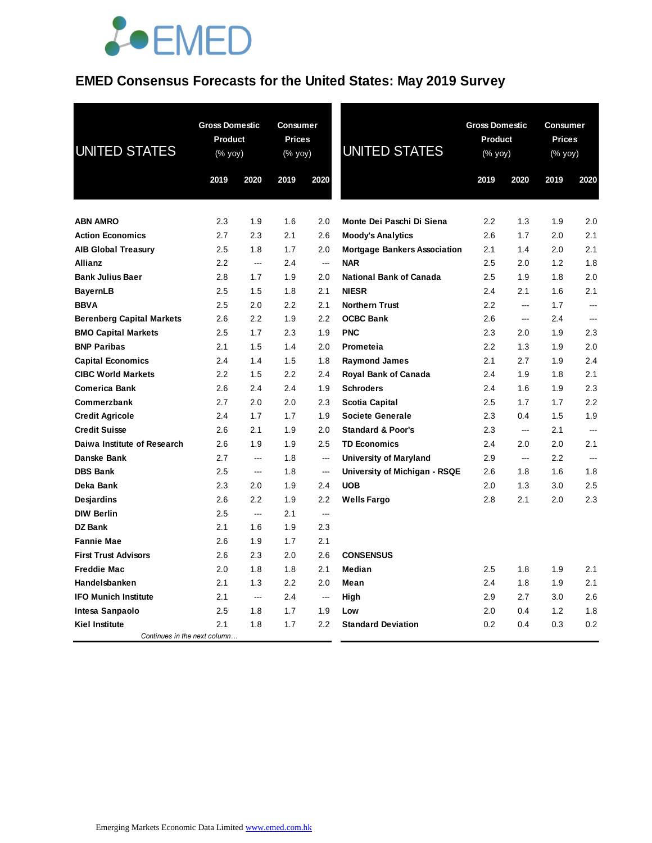## **JOEMED**

## **EMED Consensus Forecasts for the United States: May 2019 Survey**

| <b>UNITED STATES</b>             | <b>Gross Domestic</b><br><b>Product</b><br>(% yoy) |        | <b>Consumer</b><br><b>Prices</b><br>$(% \mathsf{Y}^{\prime }\mathsf{Y}^{\prime })$ (% $\mathsf{Y}^{\prime }\mathsf{Y}^{\prime }\mathsf{Y}^{\prime })$ |                          | <b>UNITED STATES</b>                | <b>Gross Domestic</b><br><b>Product</b><br>(% yoy) |                          | <b>Consumer</b><br><b>Prices</b><br>$(% \mathsf{Y}^{\prime }\mathsf{Y}^{\prime }\mathsf{Y}^{\prime })$ |          |
|----------------------------------|----------------------------------------------------|--------|-------------------------------------------------------------------------------------------------------------------------------------------------------|--------------------------|-------------------------------------|----------------------------------------------------|--------------------------|--------------------------------------------------------------------------------------------------------|----------|
|                                  | 2019                                               | 2020   | 2019                                                                                                                                                  | 2020                     |                                     | 2019                                               | 2020                     | 2019                                                                                                   | 2020     |
|                                  |                                                    |        |                                                                                                                                                       |                          |                                     |                                                    |                          |                                                                                                        |          |
| <b>ABN AMRO</b>                  | 2.3                                                | 1.9    | 1.6                                                                                                                                                   | 2.0                      | Monte Dei Paschi Di Siena           | 2.2                                                | 1.3                      | 1.9                                                                                                    | 2.0      |
| <b>Action Economics</b>          | 2.7                                                | 2.3    | 2.1                                                                                                                                                   | 2.6                      | <b>Moody's Analytics</b>            | 2.6                                                | 1.7                      | 2.0                                                                                                    | 2.1      |
| <b>AIB Global Treasury</b>       | 2.5                                                | 1.8    | 1.7                                                                                                                                                   | 2.0                      | <b>Mortgage Bankers Association</b> | 2.1                                                | 1.4                      | 2.0                                                                                                    | 2.1      |
| <b>Allianz</b>                   | 2.2                                                | ---    | 2.4                                                                                                                                                   | ---                      | <b>NAR</b>                          | 2.5                                                | 2.0                      | 1.2                                                                                                    | 1.8      |
| <b>Bank Julius Baer</b>          | 2.8                                                | 1.7    | 1.9                                                                                                                                                   | 2.0                      | <b>National Bank of Canada</b>      | 2.5                                                | 1.9                      | 1.8                                                                                                    | 2.0      |
| <b>BayernLB</b>                  | 2.5                                                | 1.5    | 1.8                                                                                                                                                   | 2.1                      | <b>NIESR</b>                        | 2.4                                                | 2.1                      | 1.6                                                                                                    | 2.1      |
| <b>BBVA</b>                      | 2.5                                                | 2.0    | 2.2                                                                                                                                                   | 2.1                      | <b>Northern Trust</b>               | 2.2                                                | $\overline{a}$           | 1.7                                                                                                    | <u>.</u> |
| <b>Berenberg Capital Markets</b> | 2.6                                                | 2.2    | 1.9                                                                                                                                                   | 2.2                      | <b>OCBC Bank</b>                    | 2.6                                                | ---                      | 2.4                                                                                                    | ---      |
| <b>BMO Capital Markets</b>       | 2.5                                                | 1.7    | 2.3                                                                                                                                                   | 1.9                      | <b>PNC</b>                          | 2.3                                                | 2.0                      | 1.9                                                                                                    | 2.3      |
| <b>BNP Paribas</b>               | 2.1                                                | 1.5    | 1.4                                                                                                                                                   | 2.0                      | Prometeia                           | 2.2                                                | 1.3                      | 1.9                                                                                                    | 2.0      |
| <b>Capital Economics</b>         | 2.4                                                | 1.4    | 1.5                                                                                                                                                   | 1.8                      | <b>Raymond James</b>                | 2.1                                                | 2.7                      | 1.9                                                                                                    | 2.4      |
| <b>CIBC World Markets</b>        | 2.2                                                | 1.5    | 2.2                                                                                                                                                   | 2.4                      | Royal Bank of Canada                | 2.4                                                | 1.9                      | 1.8                                                                                                    | 2.1      |
| <b>Comerica Bank</b>             | 2.6                                                | 2.4    | 2.4                                                                                                                                                   | 1.9                      | <b>Schroders</b>                    | 2.4                                                | 1.6                      | 1.9                                                                                                    | 2.3      |
| Commerzbank                      | 2.7                                                | 2.0    | 2.0                                                                                                                                                   | 2.3                      | Scotia Capital                      | 2.5                                                | 1.7                      | 1.7                                                                                                    | 2.2      |
| <b>Credit Agricole</b>           | 2.4                                                | 1.7    | 1.7                                                                                                                                                   | 1.9                      | <b>Societe Generale</b>             | 2.3                                                | 0.4                      | 1.5                                                                                                    | 1.9      |
| <b>Credit Suisse</b>             | 2.6                                                | 2.1    | 1.9                                                                                                                                                   | 2.0                      | <b>Standard &amp; Poor's</b>        | 2.3                                                | $\overline{\phantom{a}}$ | 2.1                                                                                                    |          |
| Daiwa Institute of Research      | 2.6                                                | 1.9    | 1.9                                                                                                                                                   | 2.5                      | <b>TD Economics</b>                 | 2.4                                                | 2.0                      | 2.0                                                                                                    | 2.1      |
| Danske Bank                      | 2.7                                                | ---    | 1.8                                                                                                                                                   | ---                      | <b>University of Maryland</b>       | 2.9                                                | ---                      | 2.2                                                                                                    |          |
| <b>DBS Bank</b>                  | 2.5                                                | ---    | 1.8                                                                                                                                                   | $\overline{\phantom{a}}$ | University of Michigan - RSQE       | 2.6                                                | 1.8                      | 1.6                                                                                                    | 1.8      |
| Deka Bank                        | 2.3                                                | 2.0    | 1.9                                                                                                                                                   | 2.4                      | <b>UOB</b>                          | 2.0                                                | 1.3                      | 3.0                                                                                                    | 2.5      |
| <b>Desjardins</b>                | 2.6                                                | 2.2    | 1.9                                                                                                                                                   | 2.2                      | <b>Wells Fargo</b>                  | 2.8                                                | 2.1                      | 2.0                                                                                                    | 2.3      |
| <b>DIW Berlin</b>                | 2.5                                                | $\sim$ | 2.1                                                                                                                                                   | ---                      |                                     |                                                    |                          |                                                                                                        |          |
| <b>DZ Bank</b>                   | 2.1                                                | 1.6    | 1.9                                                                                                                                                   | 2.3                      |                                     |                                                    |                          |                                                                                                        |          |
| <b>Fannie Mae</b>                | 2.6                                                | 1.9    | 1.7                                                                                                                                                   | 2.1                      |                                     |                                                    |                          |                                                                                                        |          |
| <b>First Trust Advisors</b>      | 2.6                                                | 2.3    | 2.0                                                                                                                                                   | 2.6                      | <b>CONSENSUS</b>                    |                                                    |                          |                                                                                                        |          |
| <b>Freddie Mac</b>               | 2.0                                                | 1.8    | 1.8                                                                                                                                                   | 2.1                      | Median                              | 2.5                                                | 1.8                      | 1.9                                                                                                    | 2.1      |
| Handelsbanken                    | 2.1                                                | 1.3    | 2.2                                                                                                                                                   | 2.0                      | Mean                                | 2.4                                                | 1.8                      | 1.9                                                                                                    | 2.1      |
| <b>IFO Munich Institute</b>      | 2.1                                                | ---    | 2.4                                                                                                                                                   | $\sim$                   | High                                | 2.9                                                | 2.7                      | 3.0                                                                                                    | 2.6      |
| Intesa Sanpaolo                  | 2.5                                                | 1.8    | 1.7                                                                                                                                                   | 1.9                      | Low                                 | 2.0                                                | 0.4                      | 1.2                                                                                                    | 1.8      |
| <b>Kiel Institute</b>            | 2.1                                                | 1.8    | 1.7                                                                                                                                                   | 2.2                      | <b>Standard Deviation</b>           | 0.2                                                | 0.4                      | 0.3                                                                                                    | 0.2      |
| Continues in the next column     |                                                    |        |                                                                                                                                                       |                          |                                     |                                                    |                          |                                                                                                        |          |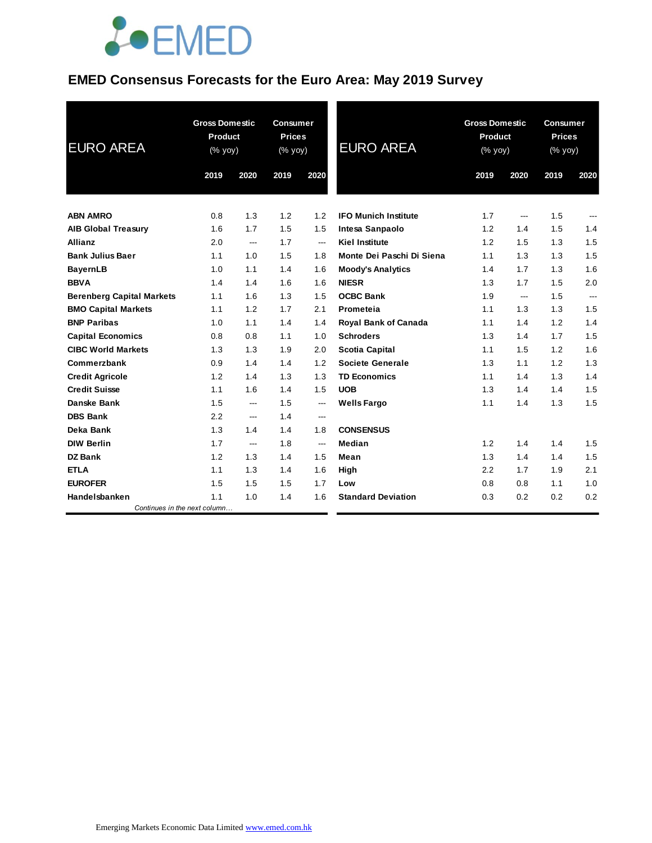

### **EMED Consensus Forecasts for the Euro Area: May 2019 Survey**

| <b>EURO AREA</b>                 | <b>Gross Domestic</b><br><b>Product</b><br>(% yoy) |                | <b>Consumer</b><br><b>Prices</b><br>(% yoy) |                          | <b>EURO AREA</b>            | <b>Gross Domestic</b><br>Product<br>(% yoy) |      | <b>Consumer</b><br><b>Prices</b><br>(% yoy) |      |
|----------------------------------|----------------------------------------------------|----------------|---------------------------------------------|--------------------------|-----------------------------|---------------------------------------------|------|---------------------------------------------|------|
|                                  | 2019                                               | 2020           | 2019                                        | 2020                     |                             | 2019                                        | 2020 | 2019                                        | 2020 |
| <b>ABN AMRO</b>                  | 0.8                                                | 1.3            | 1.2                                         | 1.2                      | <b>IFO Munich Institute</b> | 1.7                                         | ---  | 1.5                                         | ---  |
| <b>AIB Global Treasury</b>       | 1.6                                                | 1.7            | 1.5                                         | 1.5                      | Intesa Sanpaolo             | 1.2                                         | 1.4  | 1.5                                         | 1.4  |
| <b>Allianz</b>                   | 2.0                                                | ---            | 1.7                                         | $---$                    | <b>Kiel Institute</b>       | 1.2                                         | 1.5  | 1.3                                         | 1.5  |
| <b>Bank Julius Baer</b>          | 1.1                                                | 1.0            | 1.5                                         | 1.8                      | Monte Dei Paschi Di Siena   | 1.1                                         | 1.3  | 1.3                                         | 1.5  |
| <b>BayernLB</b>                  | 1.0                                                | 1.1            | 1.4                                         | 1.6                      | <b>Moody's Analytics</b>    | 1.4                                         | 1.7  | 1.3                                         | 1.6  |
| <b>BBVA</b>                      | 1.4                                                | 1.4            | 1.6                                         | 1.6                      | <b>NIESR</b>                | 1.3                                         | 1.7  | 1.5                                         | 2.0  |
| <b>Berenberg Capital Markets</b> | 1.1                                                | 1.6            | 1.3                                         | 1.5                      | <b>OCBC Bank</b>            | 1.9                                         | ---  | 1.5                                         | ---  |
| <b>BMO Capital Markets</b>       | 1.1                                                | 1.2            | 1.7                                         | 2.1                      | Prometeia                   | 1.1                                         | 1.3  | 1.3                                         | 1.5  |
| <b>BNP Paribas</b>               | 1.0                                                | 1.1            | 1.4                                         | 1.4                      | <b>Royal Bank of Canada</b> | 1.1                                         | 1.4  | 1.2                                         | 1.4  |
| <b>Capital Economics</b>         | 0.8                                                | 0.8            | 1.1                                         | 1.0                      | <b>Schroders</b>            | 1.3                                         | 1.4  | 1.7                                         | 1.5  |
| <b>CIBC World Markets</b>        | 1.3                                                | 1.3            | 1.9                                         | 2.0                      | <b>Scotia Capital</b>       | 1.1                                         | 1.5  | 1.2                                         | 1.6  |
| Commerzbank                      | 0.9                                                | 1.4            | 1.4                                         | 1.2                      | <b>Societe Generale</b>     | 1.3                                         | 1.1  | 1.2                                         | 1.3  |
| <b>Credit Agricole</b>           | 1.2                                                | 1.4            | 1.3                                         | 1.3                      | <b>TD Economics</b>         | 1.1                                         | 1.4  | 1.3                                         | 1.4  |
| <b>Credit Suisse</b>             | 1.1                                                | 1.6            | 1.4                                         | 1.5                      | <b>UOB</b>                  | 1.3                                         | 1.4  | 1.4                                         | 1.5  |
| Danske Bank                      | 1.5                                                | $\overline{a}$ | 1.5                                         | $\hspace{0.05cm} \ldots$ | <b>Wells Fargo</b>          | 1.1                                         | 1.4  | 1.3                                         | 1.5  |
| <b>DBS Bank</b>                  | 2.2                                                | ---            | 1.4                                         | ---                      |                             |                                             |      |                                             |      |
| Deka Bank                        | 1.3                                                | 1.4            | 1.4                                         | 1.8                      | <b>CONSENSUS</b>            |                                             |      |                                             |      |
| <b>DIW Berlin</b>                | 1.7                                                | ---            | 1.8                                         | $\hspace{0.05cm} \ldots$ | Median                      | 1.2                                         | 1.4  | 1.4                                         | 1.5  |
| <b>DZ Bank</b>                   | 1.2                                                | 1.3            | 1.4                                         | 1.5                      | Mean                        | 1.3                                         | 1.4  | 1.4                                         | 1.5  |
| <b>ETLA</b>                      | 1.1                                                | 1.3            | 1.4                                         | 1.6                      | High                        | 2.2                                         | 1.7  | 1.9                                         | 2.1  |
| <b>EUROFER</b>                   | 1.5                                                | 1.5            | 1.5                                         | 1.7                      | Low                         | 0.8                                         | 0.8  | 1.1                                         | 1.0  |
| Handelsbanken                    | 1.1                                                | 1.0            | 1.4                                         | 1.6                      | <b>Standard Deviation</b>   | 0.3                                         | 0.2  | 0.2                                         | 0.2  |
| Continues in the next column     |                                                    |                |                                             |                          |                             |                                             |      |                                             |      |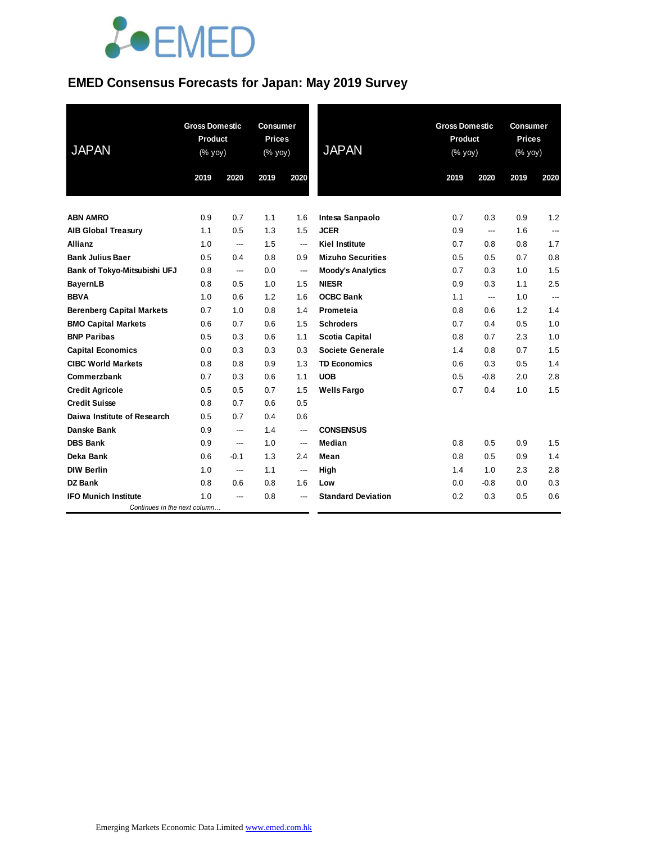

#### **EMED Consensus Forecasts for Japan: May 2019 Survey**

| <b>JAPAN</b>                     | <b>Gross Domestic</b><br><b>Product</b><br>(% yoy) |        | <b>Consumer</b><br><b>Prices</b><br>(% yoy) |      | <b>JAPAN</b>              | <b>Gross Domestic</b><br>Product<br>(% yoy) |                          |      | <b>Consumer</b><br><b>Prices</b><br>(% yoy)<br>--- |  |
|----------------------------------|----------------------------------------------------|--------|---------------------------------------------|------|---------------------------|---------------------------------------------|--------------------------|------|----------------------------------------------------|--|
|                                  | 2019                                               | 2020   | 2019                                        | 2020 |                           | 2019                                        | 2020                     | 2019 | 2020                                               |  |
| <b>ABN AMRO</b>                  | 0.9                                                | 0.7    | 1.1                                         | 1.6  | Intesa Sanpaolo           | 0.7                                         | 0.3                      | 0.9  | 1.2                                                |  |
| <b>AIB Global Treasury</b>       | 1.1                                                | 0.5    | 1.3                                         | 1.5  | <b>JCER</b>               | 0.9                                         | $\overline{\phantom{a}}$ | 1.6  |                                                    |  |
| <b>Allianz</b>                   | 1.0                                                | ---    | 1.5                                         | ---  | <b>Kiel Institute</b>     | 0.7                                         | 0.8                      | 0.8  | 1.7                                                |  |
| <b>Bank Julius Baer</b>          | 0.5                                                | 0.4    | 0.8                                         | 0.9  | <b>Mizuho Securities</b>  | 0.5                                         | 0.5                      | 0.7  | 0.8                                                |  |
| Bank of Tokyo-Mitsubishi UFJ     | 0.8                                                | ---    | 0.0                                         | ---  | <b>Moody's Analytics</b>  | 0.7                                         | 0.3                      | 1.0  | 1.5                                                |  |
| <b>BayernLB</b>                  | 0.8                                                | 0.5    | 1.0                                         | 1.5  | <b>NIESR</b>              | 0.9                                         | 0.3                      | 1.1  | 2.5                                                |  |
| <b>BBVA</b>                      | 1.0                                                | 0.6    | 1.2                                         | 1.6  | <b>OCBC Bank</b>          | 1.1                                         | $\overline{\phantom{a}}$ | 1.0  | ---                                                |  |
| <b>Berenberg Capital Markets</b> | 0.7                                                | 1.0    | 0.8                                         | 1.4  | Prometeia                 | 0.8                                         | 0.6                      | 1.2  | 1.4                                                |  |
| <b>BMO Capital Markets</b>       | 0.6                                                | 0.7    | 0.6                                         | 1.5  | <b>Schroders</b>          | 0.7                                         | 0.4                      | 0.5  | 1.0                                                |  |
| <b>BNP Paribas</b>               | 0.5                                                | 0.3    | 0.6                                         | 1.1  | <b>Scotia Capital</b>     | 0.8                                         | 0.7                      | 2.3  | 1.0                                                |  |
| <b>Capital Economics</b>         | 0.0                                                | 0.3    | 0.3                                         | 0.3  | <b>Societe Generale</b>   | 1.4                                         | 0.8                      | 0.7  | 1.5                                                |  |
| <b>CIBC World Markets</b>        | 0.8                                                | 0.8    | 0.9                                         | 1.3  | <b>TD Economics</b>       | 0.6                                         | 0.3                      | 0.5  | 1.4                                                |  |
| Commerzbank                      | 0.7                                                | 0.3    | 0.6                                         | 1.1  | <b>UOB</b>                | 0.5                                         | $-0.8$                   | 2.0  | 2.8                                                |  |
| <b>Credit Agricole</b>           | 0.5                                                | 0.5    | 0.7                                         | 1.5  | <b>Wells Fargo</b>        | 0.7                                         | 0.4                      | 1.0  | 1.5                                                |  |
| <b>Credit Suisse</b>             | 0.8                                                | 0.7    | 0.6                                         | 0.5  |                           |                                             |                          |      |                                                    |  |
| Daiwa Institute of Research      | 0.5                                                | 0.7    | 0.4                                         | 0.6  |                           |                                             |                          |      |                                                    |  |
| <b>Danske Bank</b>               | 0.9                                                | ---    | 1.4                                         | ---  | <b>CONSENSUS</b>          |                                             |                          |      |                                                    |  |
| <b>DBS Bank</b>                  | 0.9                                                | ---    | 1.0                                         | ---  | Median                    | 0.8                                         | 0.5                      | 0.9  | 1.5                                                |  |
| Deka Bank                        | 0.6                                                | $-0.1$ | 1.3                                         | 2.4  | Mean                      | 0.8                                         | 0.5                      | 0.9  | 1.4                                                |  |
| <b>DIW Berlin</b>                | 1.0                                                | ---    | 1.1                                         | ---  | High                      | 1.4                                         | 1.0                      | 2.3  | 2.8                                                |  |
| DZ Bank                          | 0.8                                                | 0.6    | 0.8                                         | 1.6  | Low                       | 0.0                                         | $-0.8$                   | 0.0  | 0.3                                                |  |
| <b>IFO Munich Institute</b>      | 1.0                                                |        | 0.8                                         |      | <b>Standard Deviation</b> | 0.2                                         | 0.3                      | 0.5  | 0.6                                                |  |
| Continues in the next column     |                                                    |        |                                             |      |                           |                                             |                          |      |                                                    |  |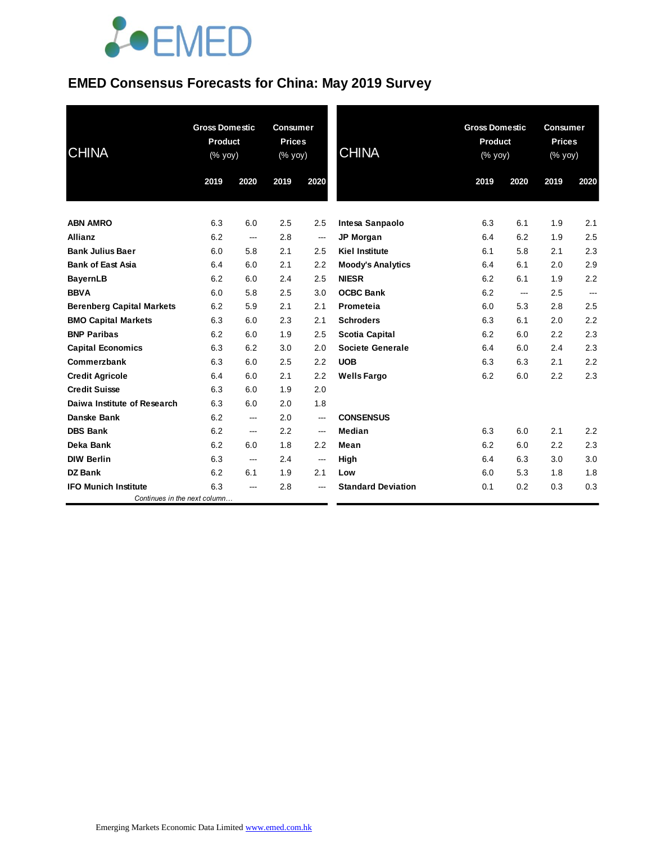# **JOEMED**

### **EMED Consensus Forecasts for China: May 2019 Survey**

| <b>CHINA</b>                     | <b>Gross Domestic</b><br><b>Product</b><br>(% yoy) |        | <b>Consumer</b><br><b>Prices</b><br>(% yoy) |                          | <b>CHINA</b>              |      | <b>Gross Domestic</b><br><b>Product</b><br>(% yoy) |      | <b>Consumer</b><br><b>Prices</b><br>(% yoy) |  |
|----------------------------------|----------------------------------------------------|--------|---------------------------------------------|--------------------------|---------------------------|------|----------------------------------------------------|------|---------------------------------------------|--|
|                                  | 2019                                               | 2020   | 2019                                        | 2020                     |                           | 2019 | 2020                                               | 2019 | 2020                                        |  |
| <b>ABN AMRO</b>                  | 6.3                                                | 6.0    | 2.5                                         | 2.5                      | Intesa Sanpaolo           | 6.3  | 6.1                                                | 1.9  | 2.1                                         |  |
| <b>Allianz</b>                   | 6.2                                                | ---    | 2.8                                         | $\hspace{0.05cm}$        | <b>JP Morgan</b>          | 6.4  | 6.2                                                | 1.9  | 2.5                                         |  |
| <b>Bank Julius Baer</b>          | 6.0                                                | 5.8    | 2.1                                         | 2.5                      | <b>Kiel Institute</b>     | 6.1  | 5.8                                                | 2.1  | 2.3                                         |  |
| <b>Bank of East Asia</b>         | 6.4                                                | 6.0    | 2.1                                         | 2.2                      | <b>Moody's Analytics</b>  | 6.4  | 6.1                                                | 2.0  | 2.9                                         |  |
| <b>BayernLB</b>                  | 6.2                                                | 6.0    | 2.4                                         | 2.5                      | <b>NIESR</b>              | 6.2  | 6.1                                                | 1.9  | 2.2                                         |  |
| <b>BBVA</b>                      | 6.0                                                | 5.8    | 2.5                                         | 3.0                      | <b>OCBC Bank</b>          | 6.2  | ---                                                | 2.5  | ---                                         |  |
| <b>Berenberg Capital Markets</b> | 6.2                                                | 5.9    | 2.1                                         | 2.1                      | Prometeia                 | 6.0  | 5.3                                                | 2.8  | 2.5                                         |  |
| <b>BMO Capital Markets</b>       | 6.3                                                | 6.0    | 2.3                                         | 2.1                      | <b>Schroders</b>          | 6.3  | 6.1                                                | 2.0  | 2.2                                         |  |
| <b>BNP Paribas</b>               | 6.2                                                | 6.0    | 1.9                                         | 2.5                      | Scotia Capital            | 6.2  | 6.0                                                | 2.2  | 2.3                                         |  |
| <b>Capital Economics</b>         | 6.3                                                | 6.2    | 3.0                                         | 2.0                      | Societe Generale          | 6.4  | 6.0                                                | 2.4  | 2.3                                         |  |
| Commerzbank                      | 6.3                                                | 6.0    | 2.5                                         | 2.2                      | <b>UOB</b>                | 6.3  | 6.3                                                | 2.1  | 2.2                                         |  |
| <b>Credit Agricole</b>           | 6.4                                                | 6.0    | 2.1                                         | 2.2                      | <b>Wells Fargo</b>        | 6.2  | 6.0                                                | 2.2  | 2.3                                         |  |
| <b>Credit Suisse</b>             | 6.3                                                | 6.0    | 1.9                                         | 2.0                      |                           |      |                                                    |      |                                             |  |
| Daiwa Institute of Research      | 6.3                                                | 6.0    | 2.0                                         | 1.8                      |                           |      |                                                    |      |                                             |  |
| <b>Danske Bank</b>               | 6.2                                                | ---    | 2.0                                         | $\overline{\phantom{a}}$ | <b>CONSENSUS</b>          |      |                                                    |      |                                             |  |
| <b>DBS Bank</b>                  | 6.2                                                | ---    | 2.2                                         | $\sim$                   | Median                    | 6.3  | 6.0                                                | 2.1  | 2.2                                         |  |
| Deka Bank                        | 6.2                                                | 6.0    | 1.8                                         | 2.2                      | Mean                      | 6.2  | 6.0                                                | 2.2  | 2.3                                         |  |
| <b>DIW Berlin</b>                | 6.3                                                | $\sim$ | 2.4                                         | $\hspace{0.05cm}$        | High                      | 6.4  | 6.3                                                | 3.0  | 3.0                                         |  |
| <b>DZ Bank</b>                   | 6.2                                                | 6.1    | 1.9                                         | 2.1                      | Low                       | 6.0  | 5.3                                                | 1.8  | 1.8                                         |  |
| <b>IFO Munich Institute</b>      | 6.3                                                | ---    | 2.8                                         | ---                      | <b>Standard Deviation</b> | 0.1  | 0.2                                                | 0.3  | 0.3                                         |  |
| Continues in the next column     |                                                    |        |                                             |                          |                           |      |                                                    |      |                                             |  |